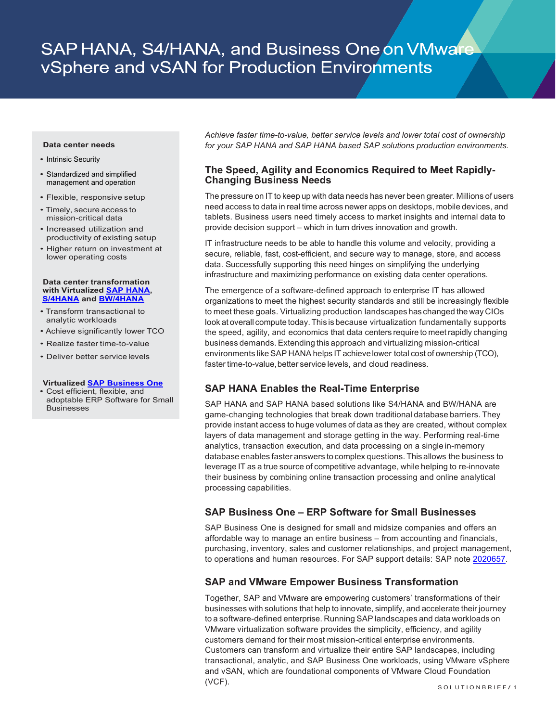# SAP HANA, S4/HANA, and Business One on VMware vSphere and vSAN for Production Environments

#### **Data center needs**

- Intrinsic Security
- Standardized and simplified management and operation
- Flexible, responsive setup
- Timely, secure access to mission-critical data
- Increased utilization and productivity of existing setup
- Higher return on investment at lower operating costs

#### **Data center transformation with Virtualize[d SAP HANA,](https://www.sap.com/products/hana.html) [S/4HANA](https://www.sap.com/products/s4hana-erp.html) and [BW/4HANA](https://www.sap.com/products/bw4hana-data-warehousing.html)**

- Transform transactional to analytic workloads
- Achieve significantly lower TCO
- Realize faster time-to-value
- Deliver better service levels

#### **Virtualized [SAP Business One](https://www.sap.com/products/business-one.html)**

• Cost efficient, flexible, and adoptable ERP Software for Small **Businesses** 

*Achieve faster time-to-value, better service levels and lower total cost of ownership for your SAP HANA and SAP HANA based SAP solutions production environments.*

# **The Speed, Agility and Economics Required to Meet Rapidly-Changing Business Needs**

The pressure on IT to keep up with data needs has never been greater. Millions of users need access to data in real time across newer apps on desktops, mobile devices, and tablets. Business users need timely access to market insights and internal data to provide decision support – which in turn drives innovation and growth.

IT infrastructure needs to be able to handle this volume and velocity, providing a secure, reliable, fast, cost-efficient, and secure way to manage, store, and access data. Successfully supporting this need hinges on simplifying the underlying infrastructure and maximizing performance on existing data center operations.

The emergence of a software-defined approach to enterprise IT has allowed organizations to meet the highest security standards and still be increasingly flexible to meet these goals. Virtualizing production landscapes has changed the way CIOs look at overall compute today.This is because virtualization fundamentally supports the speed, agility, and economics that data centers require to meetrapidly changing business demands. Extending this approach and virtualizing mission-critical environments likeSAP HANA helps IT achievelower total cost of ownership (TCO), faster time-to-value, better service levels, and cloud readiness.

# **SAP HANA Enables the Real-Time Enterprise**

SAP HANA and SAP HANA based solutions like S4/HANA and BW/HANA are game-changing technologies that break down traditional database barriers. They provide instant access to huge volumes of data as they are created, without complex layers of data management and storage getting in the way. Performing real-time analytics, transaction execution, and data processing on a single in-memory database enables faster answers to complex questions. This allows the business to leverage IT as a true source of competitive advantage, while helping to re-innovate their business by combining online transaction processing and online analytical processing capabilities.

# **SAP Business One – ERP Software for Small Businesses**

SAP Business One is designed for small and midsize companies and offers an affordable way to manage an entire business – from accounting and financials, purchasing, inventory, sales and customer relationships, and project management, to operations and human resources. For SAP support details: SAP note [2020657.](https://launchpad.support.sap.com/#/notes/2020657)

# **SAP and VMware Empower Business Transformation**

Together, SAP and VMware are empowering customers' transformations of their businesses with solutions that help to innovate, simplify, and accelerate their journey to a software-defined enterprise. Running SAP landscapes and data workloads on VMware virtualization software provides the simplicity, efficiency, and agility customers demand for their most mission-critical enterprise environments. Customers can transform and virtualize their entire SAP landscapes, including transactional, analytic, and SAP Business One workloads, using VMware vSphere and vSAN, which are foundational components of VMware Cloud Foundation (VCF).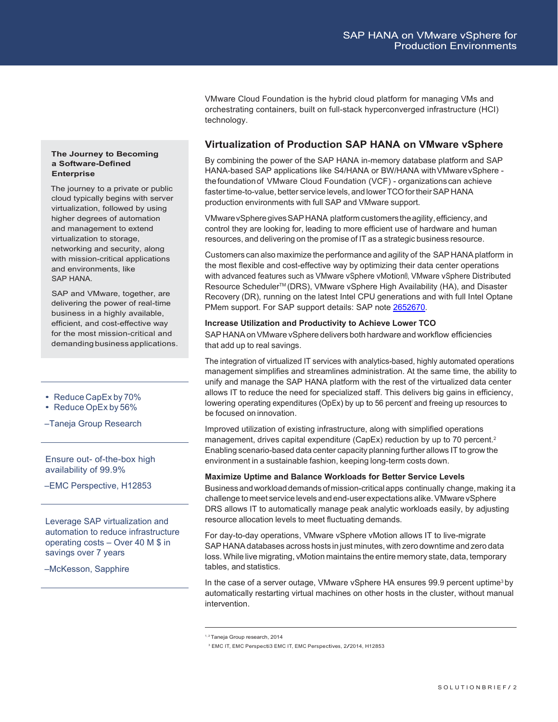VMware Cloud Foundation is the hybrid cloud platform for managing VMs and orchestrating containers, built on full-stack hyperconverged infrastructure (HCI) technology.

# **Virtualization of Production SAP HANA on VMware vSphere**

By combining the power of the SAP HANA in-memory database platform and SAP HANA-based SAP applications like S4/HANA or BW/HANA with VMware vSphere thefoundationof VMware Cloud Foundation (VCF) - organizations can achieve faster time-to-value, better service levels, and lower TCO for their SAP HANA production environments with full SAP and VMware support.

VMware vSphere gives SAP HANA platform customers the agility, efficiency, and control they are looking for, leading to more efficient use of hardware and human resources, and delivering on the promise of IT as a strategic business resource.

Customers can also maximize the performance and agility of the SAP HANA platform in the most flexible and cost-effective way by optimizing their data center operations with advanced features such as VMware vSphere vMotion®, VMware vSphere Distributed Resource Scheduler™ (DRS), VMware vSphere High Availability (HA), and Disaster Recovery (DR), running on the latest Intel CPU generations and with full Intel Optane PMem support. For SAP support details: SAP not[e 2652670.](https://launchpad.support.sap.com/#/notes/2652670)

### **Increase Utilization and Productivity to Achieve Lower TCO**

SAP HANA on VMware vSphere delivers both hardware and workflow efficiencies that add up to real savings.

The integration of virtualized IT services with analytics-based, highly automated operations management simplifies and streamlines administration. At the same time, the ability to unify and manage the SAP HANA platform with the rest of the virtualized data center allows IT to reduce the need for specialized staff. This delivers big gains in efficiency, lowering operating expenditures (OpEx) by up to 56 percent <sup>1</sup> and freeing up resources to be focused on innovation.

Improved utilization of existing infrastructure, along with simplified operations management, drives capital expenditure (CapEx) reduction by up to 70 percent.<sup>2</sup> Enabling scenario-based data center capacity planning further allows IT to grow the environment in a sustainable fashion, keeping long-term costs down.

## **Maximize Uptime and Balance Workloads for Better Service Levels**

Business andworkloaddemands ofmission-criticalapps continually change,making it a challenge to meet service levels and end-user expectations alike.VMware vSphere DRS allows IT to automatically manage peak analytic workloads easily, by adjusting resource allocation levels to meet fluctuating demands.

For day-to-day operations, VMware vSphere vMotion allows IT to live-migrate SAP HANAdatabases across hosts in just minutes, with zero downtime and zero data loss. While live migrating, vMotion maintains the entire memory state, data, temporary tables, and statistics.

In the case of a server outage, VMware vSphere HA ensures 99.9 percent uptime<sup>3</sup> by automatically restarting virtual machines on other hosts in the cluster, without manual intervention.

## **The Journey to Becoming a Software-Defined Enterprise**

The journey to a private or public cloud typically begins with server virtualization, followed by using higher degrees of automation and management to extend virtualization to storage, networking and security, along with mission-critical applications and environments, like SAP HANA.

SAP and VMware, together, are delivering the power of real-time business in a highly available, efficient, and cost-effective way for the most mission-critical and demandingbusiness applications.

• Reduce CapEx by 70%

## • Reduce OpEx by 56%

–Taneja Group Research

Ensure out- of-the-box high availability of 99.9%

–EMC Perspective, H12853

Leverage SAP virtualization and automation to reduce infrastructure operating costs – Over 40 M \$ in savings over 7 years

–McKesson, Sapphire

<sup>1, 2</sup> Taneja Group research, 2014

<sup>3</sup> EMC IT, EMC Perspecti3 EMC IT, EMC Perspectives, 2/2014, H12853